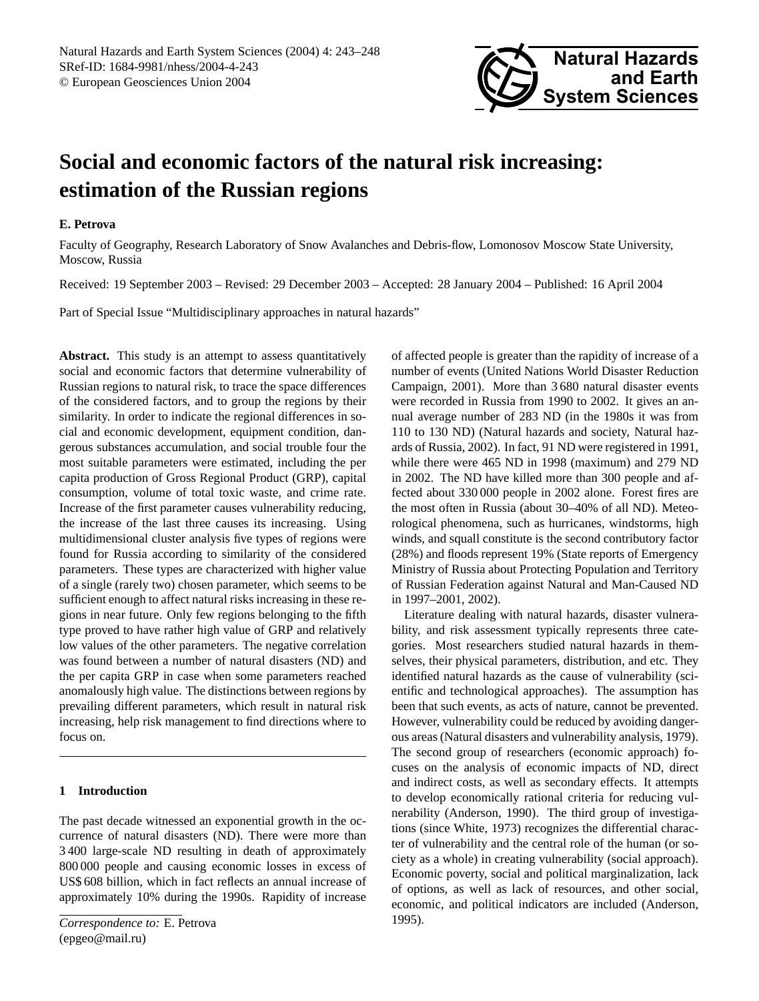

# **Social and economic factors of the natural risk increasing: estimation of the Russian regions**

## **E. Petrova**

Faculty of Geography, Research Laboratory of Snow Avalanches and Debris-flow, Lomonosov Moscow State University, Moscow, Russia

Received: 19 September 2003 – Revised: 29 December 2003 – Accepted: 28 January 2004 – Published: 16 April 2004

Part of Special Issue "Multidisciplinary approaches in natural hazards"

Abstract. This study is an attempt to assess quantitatively social and economic factors that determine vulnerability of Russian regions to natural risk, to trace the space differences of the considered factors, and to group the regions by their similarity. In order to indicate the regional differences in social and economic development, equipment condition, dangerous substances accumulation, and social trouble four the most suitable parameters were estimated, including the per capita production of Gross Regional Product (GRP), capital consumption, volume of total toxic waste, and crime rate. Increase of the first parameter causes vulnerability reducing, the increase of the last three causes its increasing. Using multidimensional cluster analysis five types of regions were found for Russia according to similarity of the considered parameters. These types are characterized with higher value of a single (rarely two) chosen parameter, which seems to be sufficient enough to affect natural risks increasing in these regions in near future. Only few regions belonging to the fifth type proved to have rather high value of GRP and relatively low values of the other parameters. The negative correlation was found between a number of natural disasters (ND) and the per capita GRP in case when some parameters reached anomalously high value. The distinctions between regions by prevailing different parameters, which result in natural risk increasing, help risk management to find directions where to focus on.

# **1 Introduction**

The past decade witnessed an exponential growth in the occurrence of natural disasters (ND). There were more than 3 400 large-scale ND resulting in death of approximately 800 000 people and causing economic losses in excess of US\$ 608 billion, which in fact reflects an annual increase of approximately 10% during the 1990s. Rapidity of increase of affected people is greater than the rapidity of increase of a number of events (United Nations World Disaster Reduction Campaign, 2001). More than 3 680 natural disaster events were recorded in Russia from 1990 to 2002. It gives an annual average number of 283 ND (in the 1980s it was from 110 to 130 ND) (Natural hazards and society, Natural hazards of Russia, 2002). In fact, 91 ND were registered in 1991, while there were 465 ND in 1998 (maximum) and 279 ND in 2002. The ND have killed more than 300 people and affected about 330 000 people in 2002 alone. Forest fires are the most often in Russia (about 30–40% of all ND). Meteorological phenomena, such as hurricanes, windstorms, high winds, and squall constitute is the second contributory factor (28%) and floods represent 19% (State reports of Emergency Ministry of Russia about Protecting Population and Territory of Russian Federation against Natural and Man-Caused ND in 1997–2001, 2002).

Literature dealing with natural hazards, disaster vulnerability, and risk assessment typically represents three categories. Most researchers studied natural hazards in themselves, their physical parameters, distribution, and etc. They identified natural hazards as the cause of vulnerability (scientific and technological approaches). The assumption has been that such events, as acts of nature, cannot be prevented. However, vulnerability could be reduced by avoiding dangerous areas (Natural disasters and vulnerability analysis, 1979). The second group of researchers (economic approach) focuses on the analysis of economic impacts of ND, direct and indirect costs, as well as secondary effects. It attempts to develop economically rational criteria for reducing vulnerability (Anderson, 1990). The third group of investigations (since White, 1973) recognizes the differential character of vulnerability and the central role of the human (or society as a whole) in creating vulnerability (social approach). Economic poverty, social and political marginalization, lack of options, as well as lack of resources, and other social, economic, and political indicators are included (Anderson, 1995).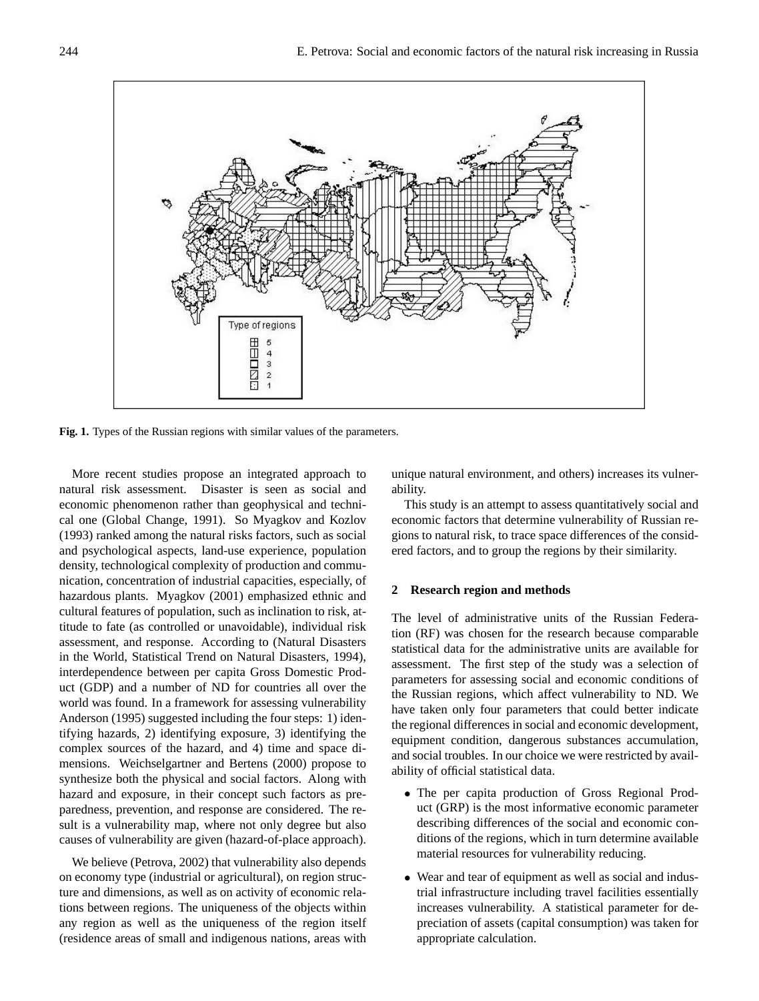

**Fig. 1.** Types of the Russian regions with similar values of the parameters.

More recent studies propose an integrated approach to natural risk assessment. Disaster is seen as social and economic phenomenon rather than geophysical and technical one (Global Change, 1991). So Myagkov and Kozlov (1993) ranked among the natural risks factors, such as social and psychological aspects, land-use experience, population density, technological complexity of production and communication, concentration of industrial capacities, especially, of hazardous plants. Myagkov (2001) emphasized ethnic and cultural features of population, such as inclination to risk, attitude to fate (as controlled or unavoidable), individual risk assessment, and response. According to (Natural Disasters in the World, Statistical Trend on Natural Disasters, 1994), interdependence between per capita Gross Domestic Product (GDP) and a number of ND for countries all over the world was found. In a framework for assessing vulnerability Anderson (1995) suggested including the four steps: 1) identifying hazards, 2) identifying exposure, 3) identifying the complex sources of the hazard, and 4) time and space dimensions. Weichselgartner and Bertens (2000) propose to synthesize both the physical and social factors. Along with hazard and exposure, in their concept such factors as preparedness, prevention, and response are considered. The result is a vulnerability map, where not only degree but also causes of vulnerability are given (hazard-of-place approach).

We believe (Petrova, 2002) that vulnerability also depends on economy type (industrial or agricultural), on region structure and dimensions, as well as on activity of economic relations between regions. The uniqueness of the objects within any region as well as the uniqueness of the region itself (residence areas of small and indigenous nations, areas with

unique natural environment, and others) increases its vulnerability.

This study is an attempt to assess quantitatively social and economic factors that determine vulnerability of Russian regions to natural risk, to trace space differences of the considered factors, and to group the regions by their similarity.

## **2 Research region and methods**

The level of administrative units of the Russian Federation (RF) was chosen for the research because comparable statistical data for the administrative units are available for assessment. The first step of the study was a selection of parameters for assessing social and economic conditions of the Russian regions, which affect vulnerability to ND. We have taken only four parameters that could better indicate the regional differences in social and economic development, equipment condition, dangerous substances accumulation, and social troubles. In our choice we were restricted by availability of official statistical data.

- The per capita production of Gross Regional Product (GRP) is the most informative economic parameter describing differences of the social and economic conditions of the regions, which in turn determine available material resources for vulnerability reducing.
- Wear and tear of equipment as well as social and industrial infrastructure including travel facilities essentially increases vulnerability. A statistical parameter for depreciation of assets (capital consumption) was taken for appropriate calculation.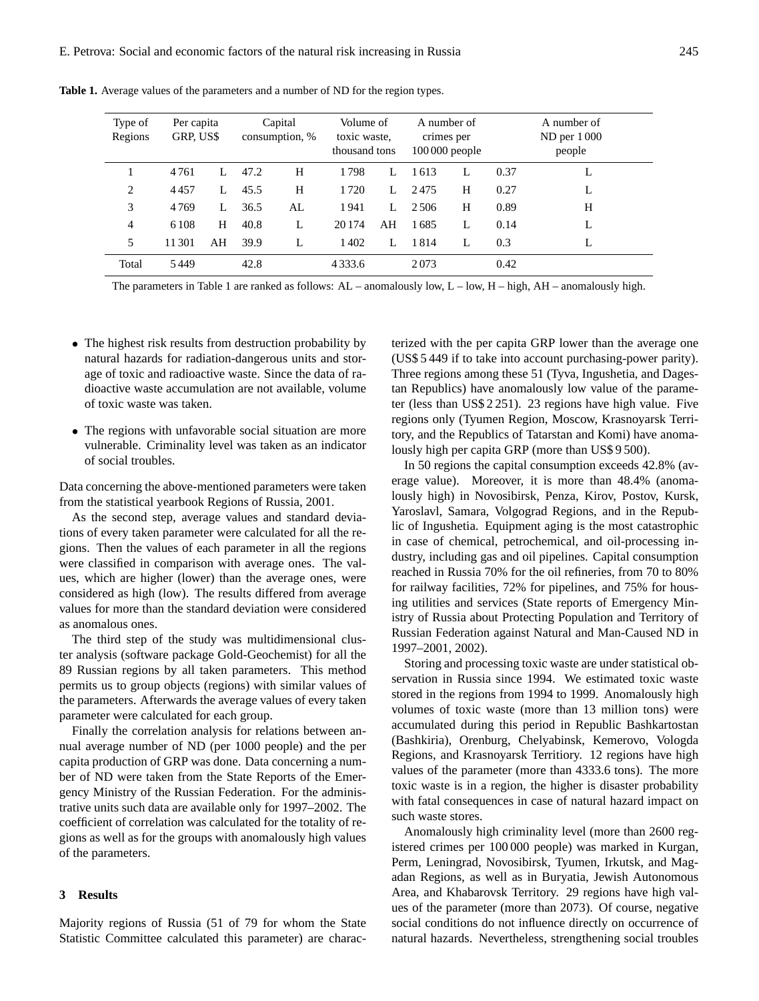| Type of<br>Regions | Per capita<br>GRP, US\$ |    | Capital<br>consumption, % |    | Volume of<br>toxic waste.<br>thousand tons |    | A number of<br>crimes per<br>$100000$ people |   | A number of<br>ND per 1 000<br>people |   |
|--------------------|-------------------------|----|---------------------------|----|--------------------------------------------|----|----------------------------------------------|---|---------------------------------------|---|
|                    | 4761                    | L  | 47.2                      | H  | 1798                                       | Ι. | 1613                                         | L | 0.37                                  | L |
| 2                  | 4457                    | L  | 45.5                      | H  | 1720                                       | L  | 2475                                         | H | 0.27                                  | L |
| 3                  | 4769                    | L  | 36.5                      | AL | 1941                                       | L  | 2.506                                        | H | 0.89                                  | H |
| $\overline{4}$     | 6108                    | H  | 40.8                      | L  | 20174                                      | AH | 1685                                         | L | 0.14                                  | L |
| 5                  | 11301                   | AH | 39.9                      |    | 1402                                       | L  | 1814                                         | L | 0.3                                   | L |
| Total              | 5449                    |    | 42.8                      |    | 4333.6                                     |    | 2073                                         |   | 0.42                                  |   |

**Table 1.** Average values of the parameters and a number of ND for the region types.

The parameters in Table 1 are ranked as follows: AL – anomalously low, L – low, H – high, AH – anomalously high.

- The highest risk results from destruction probability by natural hazards for radiation-dangerous units and storage of toxic and radioactive waste. Since the data of radioactive waste accumulation are not available, volume of toxic waste was taken.
- The regions with unfavorable social situation are more vulnerable. Criminality level was taken as an indicator of social troubles.

Data concerning the above-mentioned parameters were taken from the statistical yearbook Regions of Russia, 2001.

As the second step, average values and standard deviations of every taken parameter were calculated for all the regions. Then the values of each parameter in all the regions were classified in comparison with average ones. The values, which are higher (lower) than the average ones, were considered as high (low). The results differed from average values for more than the standard deviation were considered as anomalous ones.

The third step of the study was multidimensional cluster analysis (software package Gold-Geochemist) for all the 89 Russian regions by all taken parameters. This method permits us to group objects (regions) with similar values of the parameters. Afterwards the average values of every taken parameter were calculated for each group.

Finally the correlation analysis for relations between annual average number of ND (per 1000 people) and the per capita production of GRP was done. Data concerning a number of ND were taken from the State Reports of the Emergency Ministry of the Russian Federation. For the administrative units such data are available only for 1997–2002. The coefficient of correlation was calculated for the totality of regions as well as for the groups with anomalously high values of the parameters.

## **3 Results**

Majority regions of Russia (51 of 79 for whom the State Statistic Committee calculated this parameter) are characterized with the per capita GRP lower than the average one (US\$ 5 449 if to take into account purchasing-power parity). Three regions among these 51 (Tyva, Ingushetia, and Dagestan Republics) have anomalously low value of the parameter (less than US\$ 2 251). 23 regions have high value. Five regions only (Tyumen Region, Moscow, Krasnoyarsk Territory, and the Republics of Tatarstan and Komi) have anomalously high per capita GRP (more than US\$ 9 500).

In 50 regions the capital consumption exceeds 42.8% (average value). Moreover, it is more than 48.4% (anomalously high) in Novosibirsk, Penza, Kirov, Postov, Kursk, Yaroslavl, Samara, Volgograd Regions, and in the Republic of Ingushetia. Equipment aging is the most catastrophic in case of chemical, petrochemical, and oil-processing industry, including gas and oil pipelines. Capital consumption reached in Russia 70% for the oil refineries, from 70 to 80% for railway facilities, 72% for pipelines, and 75% for housing utilities and services (State reports of Emergency Ministry of Russia about Protecting Population and Territory of Russian Federation against Natural and Man-Caused ND in 1997–2001, 2002).

Storing and processing toxic waste are under statistical observation in Russia since 1994. We estimated toxic waste stored in the regions from 1994 to 1999. Anomalously high volumes of toxic waste (more than 13 million tons) were accumulated during this period in Republic Bashkartostan (Bashkiria), Orenburg, Chelyabinsk, Kemerovo, Vologda Regions, and Krasnoyarsk Territiory. 12 regions have high values of the parameter (more than 4333.6 tons). The more toxic waste is in a region, the higher is disaster probability with fatal consequences in case of natural hazard impact on such waste stores.

Anomalously high criminality level (more than 2600 registered crimes per 100 000 people) was marked in Kurgan, Perm, Leningrad, Novosibirsk, Tyumen, Irkutsk, and Magadan Regions, as well as in Buryatia, Jewish Autonomous Area, and Khabarovsk Territory. 29 regions have high values of the parameter (more than 2073). Of course, negative social conditions do not influence directly on occurrence of natural hazards. Nevertheless, strengthening social troubles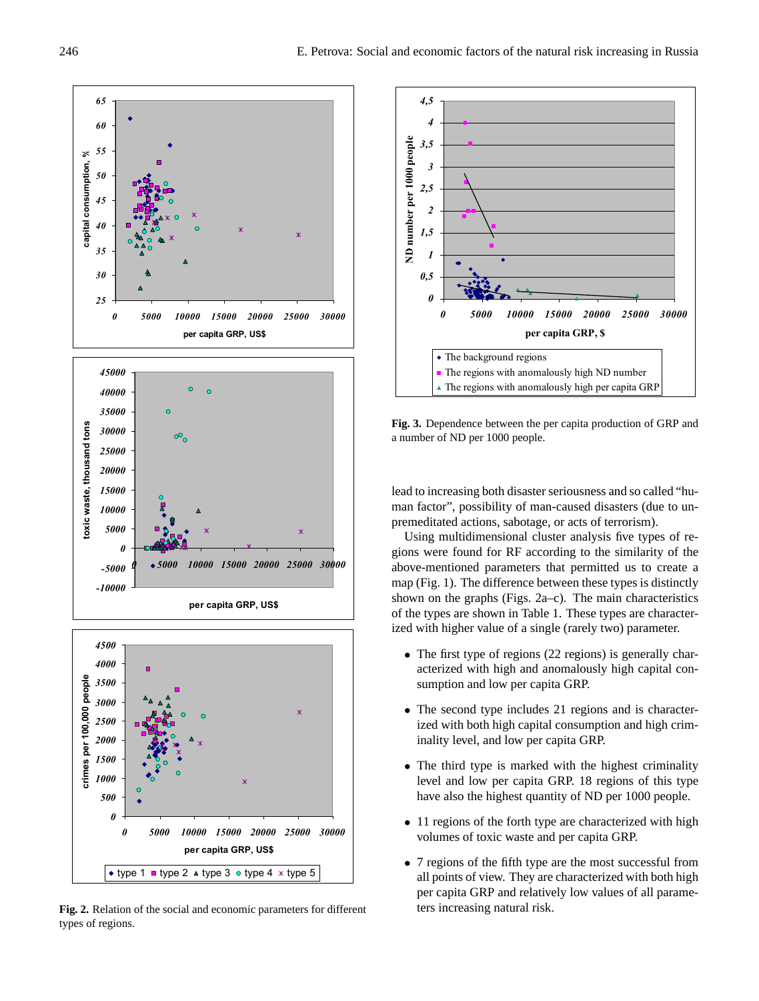

**Fig. 2.** Relation of the social and economic parameters for different types of regions.



**Fig. 3.** Dependence between the per capita production of GRP and a number of ND per 1000 people.

lead to increasing both disaster seriousness and so called "human factor", possibility of man-caused disasters (due to unpremeditated actions, sabotage, or acts of terrorism).

Using multidimensional cluster analysis five types of regions were found for RF according to the similarity of the above-mentioned parameters that permitted us to create a map (Fig. 1). The difference between these types is distinctly shown on the graphs (Figs. 2a–c). The main characteristics of the types are shown in Table 1. These types are characterized with higher value of a single (rarely two) parameter.

- The first type of regions (22 regions) is generally characterized with high and anomalously high capital consumption and low per capita GRP.
- The second type includes 21 regions and is characterized with both high capital consumption and high criminality level, and low per capita GRP.
- The third type is marked with the highest criminality level and low per capita GRP. 18 regions of this type have also the highest quantity of ND per 1000 people.
- 11 regions of the forth type are characterized with high volumes of toxic waste and per capita GRP.
- 7 regions of the fifth type are the most successful from all points of view. They are characterized with both high per capita GRP and relatively low values of all parameters increasing natural risk.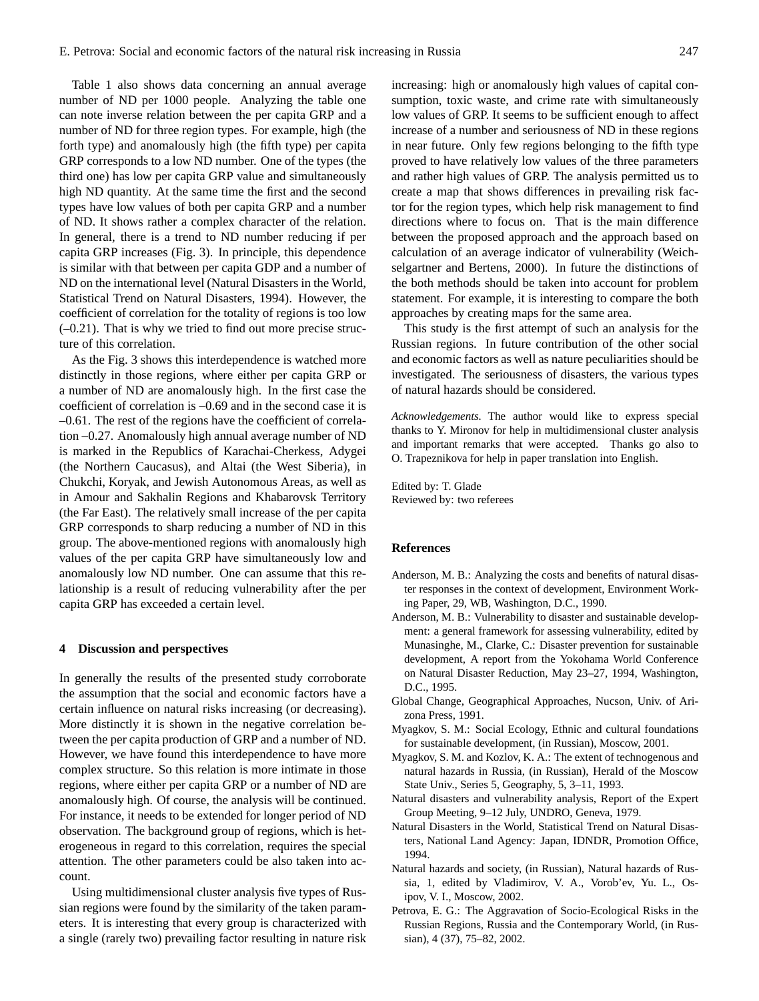Table 1 also shows data concerning an annual average number of ND per 1000 people. Analyzing the table one can note inverse relation between the per capita GRP and a number of ND for three region types. For example, high (the forth type) and anomalously high (the fifth type) per capita GRP corresponds to a low ND number. One of the types (the third one) has low per capita GRP value and simultaneously high ND quantity. At the same time the first and the second types have low values of both per capita GRP and a number of ND. It shows rather a complex character of the relation. In general, there is a trend to ND number reducing if per capita GRP increases (Fig. 3). In principle, this dependence is similar with that between per capita GDP and a number of ND on the international level (Natural Disasters in the World, Statistical Trend on Natural Disasters, 1994). However, the coefficient of correlation for the totality of regions is too low (–0.21). That is why we tried to find out more precise structure of this correlation.

As the Fig. 3 shows this interdependence is watched more distinctly in those regions, where either per capita GRP or a number of ND are anomalously high. In the first case the coefficient of correlation is –0.69 and in the second case it is –0.61. The rest of the regions have the coefficient of correlation –0.27. Anomalously high annual average number of ND is marked in the Republics of Karachai-Cherkess, Adygei (the Northern Caucasus), and Altai (the West Siberia), in Chukchi, Koryak, and Jewish Autonomous Areas, as well as in Amour and Sakhalin Regions and Khabarovsk Territory (the Far East). The relatively small increase of the per capita GRP corresponds to sharp reducing a number of ND in this group. The above-mentioned regions with anomalously high values of the per capita GRP have simultaneously low and anomalously low ND number. One can assume that this relationship is a result of reducing vulnerability after the per capita GRP has exceeded a certain level.

#### **4 Discussion and perspectives**

In generally the results of the presented study corroborate the assumption that the social and economic factors have a certain influence on natural risks increasing (or decreasing). More distinctly it is shown in the negative correlation between the per capita production of GRP and a number of ND. However, we have found this interdependence to have more complex structure. So this relation is more intimate in those regions, where either per capita GRP or a number of ND are anomalously high. Of course, the analysis will be continued. For instance, it needs to be extended for longer period of ND observation. The background group of regions, which is heterogeneous in regard to this correlation, requires the special attention. The other parameters could be also taken into account.

Using multidimensional cluster analysis five types of Russian regions were found by the similarity of the taken parameters. It is interesting that every group is characterized with a single (rarely two) prevailing factor resulting in nature risk increasing: high or anomalously high values of capital consumption, toxic waste, and crime rate with simultaneously low values of GRP. It seems to be sufficient enough to affect increase of a number and seriousness of ND in these regions in near future. Only few regions belonging to the fifth type proved to have relatively low values of the three parameters and rather high values of GRP. The analysis permitted us to create a map that shows differences in prevailing risk factor for the region types, which help risk management to find directions where to focus on. That is the main difference between the proposed approach and the approach based on calculation of an average indicator of vulnerability (Weichselgartner and Bertens, 2000). In future the distinctions of the both methods should be taken into account for problem statement. For example, it is interesting to compare the both approaches by creating maps for the same area.

This study is the first attempt of such an analysis for the Russian regions. In future contribution of the other social and economic factors as well as nature peculiarities should be investigated. The seriousness of disasters, the various types of natural hazards should be considered.

*Acknowledgements.* The author would like to express special thanks to Y. Mironov for help in multidimensional cluster analysis and important remarks that were accepted. Thanks go also to O. Trapeznikova for help in paper translation into English.

Edited by: T. Glade Reviewed by: two referees

### **References**

- Anderson, M. B.: Analyzing the costs and benefits of natural disaster responses in the context of development, Environment Working Paper, 29, WB, Washington, D.C., 1990.
- Anderson, M. B.: Vulnerability to disaster and sustainable development: a general framework for assessing vulnerability, edited by Munasinghe, M., Clarke, C.: Disaster prevention for sustainable development, A report from the Yokohama World Conference on Natural Disaster Reduction, May 23–27, 1994, Washington, D.C., 1995.
- Global Change, Geographical Approaches, Nucson, Univ. of Arizona Press, 1991.
- Myagkov, S. M.: Social Ecology, Ethnic and cultural foundations for sustainable development, (in Russian), Moscow, 2001.
- Myagkov, S. M. and Kozlov, K. A.: The extent of technogenous and natural hazards in Russia, (in Russian), Herald of the Moscow State Univ., Series 5, Geography, 5, 3–11, 1993.
- Natural disasters and vulnerability analysis, Report of the Expert Group Meeting, 9–12 July, UNDRO, Geneva, 1979.
- Natural Disasters in the World, Statistical Trend on Natural Disasters, National Land Agency: Japan, IDNDR, Promotion Office, 1994.
- Natural hazards and society, (in Russian), Natural hazards of Russia, 1, edited by Vladimirov, V. A., Vorob'ev, Yu. L., Osipov, V. I., Moscow, 2002.
- Petrova, E. G.: The Aggravation of Socio-Ecological Risks in the Russian Regions, Russia and the Contemporary World, (in Russian), 4 (37), 75–82, 2002.